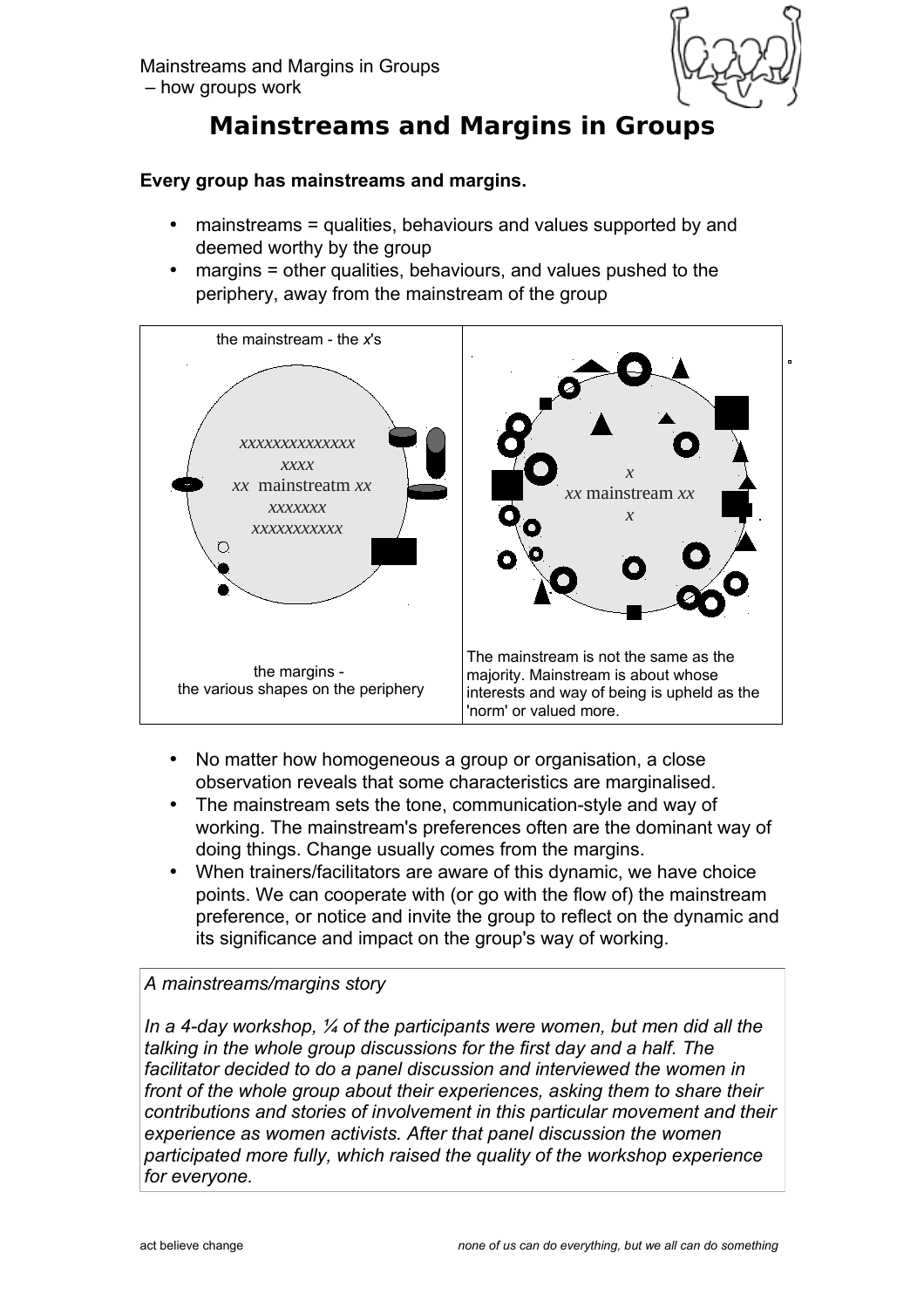Mainstreams and Margins in Groups – how groups work



# **Mainstreams and Margins in Groups**

## **Every group has mainstreams and margins.**

- mainstreams = qualities, behaviours and values supported by and deemed worthy by the group
- margins = other qualities, behaviours, and values pushed to the periphery, away from the mainstream of the group



- No matter how homogeneous a group or organisation, a close observation reveals that some characteristics are marginalised.
- The mainstream sets the tone, communication-style and way of working. The mainstream's preferences often are the dominant way of doing things. Change usually comes from the margins.
- When trainers/facilitators are aware of this dynamic, we have choice points. We can cooperate with (or go with the flow of) the mainstream preference, or notice and invite the group to reflect on the dynamic and its significance and impact on the group's way of working.

## *A mainstreams/margins story*

*In a 4-day workshop, ¼ of the participants were women, but men did all the talking in the whole group discussions for the first day and a half. The facilitator decided to do a panel discussion and interviewed the women in front of the whole group about their experiences, asking them to share their contributions and stories of involvement in this particular movement and their experience as women activists. After that panel discussion the women participated more fully, which raised the quality of the workshop experience for everyone.*